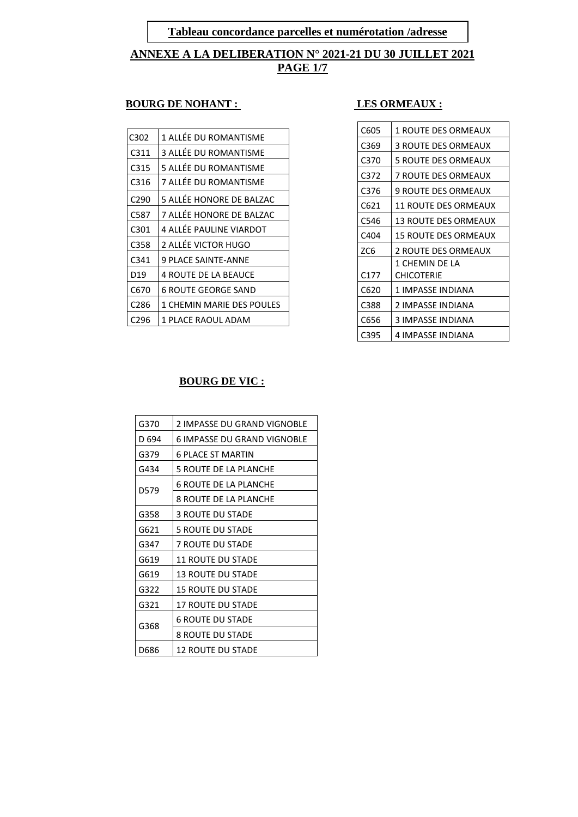**Tableau concordance parcelles et numérotation /adresse**

**ANNEXE A LA DELIBERATION N° 2021-21 DU 30 JUILLET 2021 PAGE 1/7**

#### **EXECUTE BOURG DE NOHANT :** LES ORMEAUX :

| C302             | 1 ALLÉE DU ROMANTISME       |
|------------------|-----------------------------|
| C311             | 3 ALLÉE DU ROMANTISME       |
| C315             | 5 ALLÉE DU ROMANTISME       |
| C316             | 7 ALLÉE DU ROMANTISME       |
| C <sub>290</sub> | 5 ALLÉE HONORE DE BALZAC    |
| C587             | 7 ALLÉE HONORE DE BALZAC    |
| C301             | 4 ALLÉE PAULINE VIARDOT     |
| C358             | 2 ALLÉE VICTOR HUGO         |
| C341             | <b>9 PLACE SAINTE-ANNE</b>  |
| D <sub>19</sub>  | <b>4 ROUTE DE LA BEAUCE</b> |
| C670             | 6 ROUTE GEORGE SAND         |
| C286             | 1 CHEMIN MARIE DES POULES   |
| C296             | 1 PLACE RAOUL ADAM          |

| C605             | <b>1 ROUTE DES ORMEAUX</b> |
|------------------|----------------------------|
|                  |                            |
| C369             | <b>3 ROUTE DES ORMEAUX</b> |
| C370             | 5 ROUTE DES ORMEAUX        |
| C372             | 7 ROUTE DES ORMEAUX        |
| C376             | 9 ROUTE DES ORMEAUX        |
| C621             | 11 ROUTE DES ORMEAUX       |
| C546             | 13 ROUTE DES ORMEAUX       |
| C404             | 15 ROUTE DES ORMEAUX       |
| ZC <sub>6</sub>  | 2 ROUTE DES ORMEAUX        |
|                  | 1 CHEMIN DE LA             |
| C <sub>177</sub> | <b>CHICOTERIE</b>          |
| C620             | 1 IMPASSE INDIANA          |
| C388             | 2 IMPASSE INDIANA          |
| C656             | 3 IMPASSE INDIANA          |
| C395             | 4 IMPASSE INDIANA          |

#### **BOURG DE VIC :**

| G370             | 2 IMPASSE DU GRAND VIGNOBLE  |
|------------------|------------------------------|
| D <sub>694</sub> | 6 IMPASSE DU GRAND VIGNOBLE  |
| G379             | 6 PLACE ST MARTIN            |
| G434             | 5 ROUTE DE LA PLANCHE        |
| D579             | 6 ROUTE DE LA PLANCHE        |
|                  | <b>8 ROUTE DE LA PLANCHE</b> |
| G358             | <b>3 ROUTE DU STADE</b>      |
| G621             | <b>5 ROUTE DU STADE</b>      |
| G347             | 7 ROUTE DU STADE             |
| G619             | <b>11 ROUTE DU STADE</b>     |
| G619             | <b>13 ROUTE DU STADE</b>     |
| G322             | <b>15 ROUTE DU STADE</b>     |
| G321             | <b>17 ROUTE DU STADE</b>     |
| G368             | <b>6 ROUTE DU STADE</b>      |
|                  | <b>8 ROUTE DU STADE</b>      |
| D686             | 12 ROUTE DU STADE            |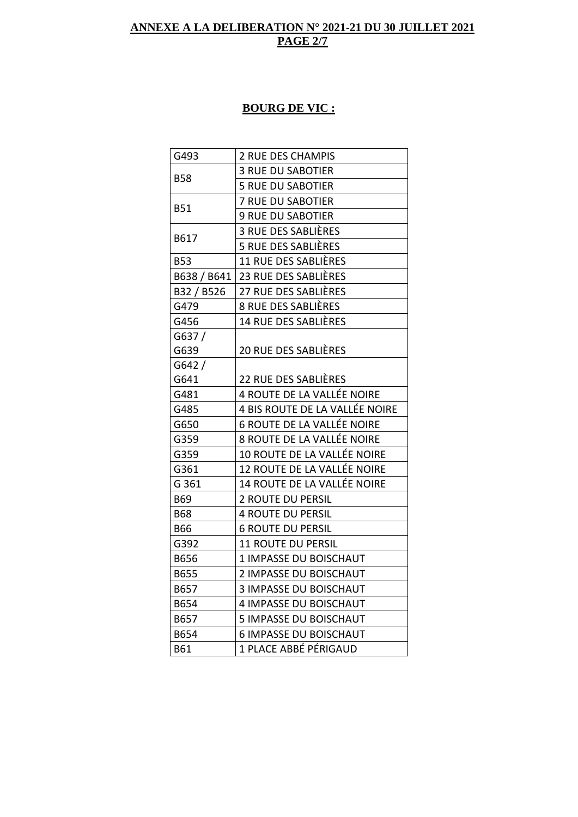## **ANNEXE A LA DELIBERATION N° 2021-21 DU 30 JUILLET 2021 PAGE 2/7**

# **BOURG DE VIC :**

| G493        | 2 RUE DES CHAMPIS                 |
|-------------|-----------------------------------|
| <b>B58</b>  | <b>3 RUE DU SABOTIER</b>          |
|             | <b>5 RUE DU SABOTIER</b>          |
| <b>B51</b>  | <b>7 RUE DU SABOTIER</b>          |
|             | <b>9 RUE DU SABOTIER</b>          |
| B617        | 3 RUE DES SABLIÈRES               |
|             | 5 RUE DES SABLIÈRES               |
| <b>B53</b>  | <b>11 RUE DES SABLIÈRES</b>       |
| B638 / B641 | 23 RUE DES SABLIÈRES              |
| B32 / B526  | 27 RUE DES SABLIÈRES              |
| G479        | 8 RUE DES SABLIÈRES               |
| G456        | <b>14 RUE DES SABLIÈRES</b>       |
| G637/       |                                   |
| G639        | <b>20 RUE DES SABLIÈRES</b>       |
| G642/       |                                   |
| G641        | 22 RUE DES SABLIÈRES              |
| G481        | 4 ROUTE DE LA VALLÉE NOIRE        |
| G485        | 4 BIS ROUTE DE LA VALLÉE NOIRE    |
| G650        | <b>6 ROUTE DE LA VALLÉE NOIRE</b> |
| G359        | 8 ROUTE DE LA VALLÉE NOIRE        |
| G359        | 10 ROUTE DE LA VALLÉE NOIRE       |
| G361        | 12 ROUTE DE LA VALLÉE NOIRE       |
| G 361       | 14 ROUTE DE LA VALLÉE NOIRE       |
| <b>B69</b>  | 2 ROUTE DU PERSIL                 |
| <b>B68</b>  | <b>4 ROUTE DU PERSIL</b>          |
| <b>B66</b>  | <b>6 ROUTE DU PERSIL</b>          |
| G392        | <b>11 ROUTE DU PERSIL</b>         |
| B656        | 1 IMPASSE DU BOISCHAUT            |
| B655        | 2 IMPASSE DU BOISCHAUT            |
| B657        | <b>3 IMPASSE DU BOISCHAUT</b>     |
| B654        | 4 IMPASSE DU BOISCHAUT            |
| B657        | <b>5 IMPASSE DU BOISCHAUT</b>     |
| B654        | <b>6 IMPASSE DU BOISCHAUT</b>     |
| B61         | 1 PLACE ABBÉ PÉRIGAUD             |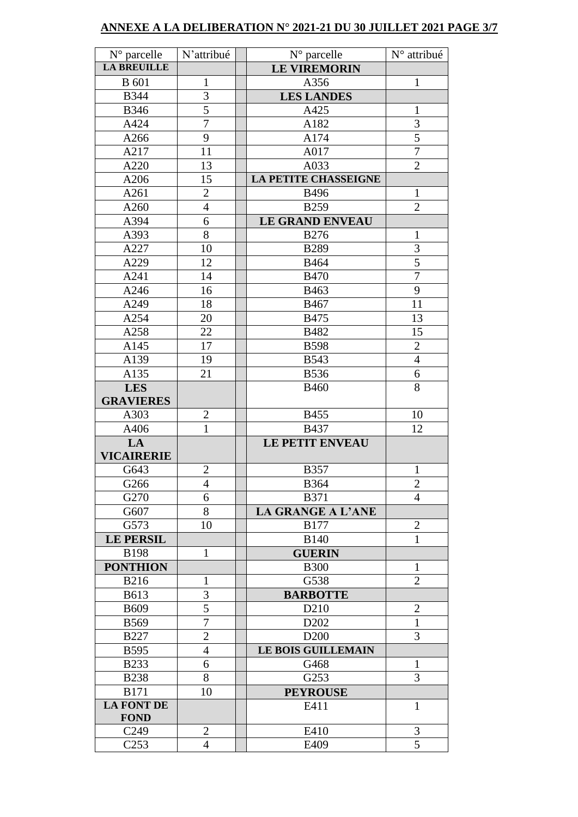### **ANNEXE A LA DELIBERATION N° 2021-21 DU 30 JUILLET 2021 PAGE 3/7**

| $N^{\circ}$ parcelle      | N'attribué     | $N^{\circ}$ parcelle          | N° attribué    |
|---------------------------|----------------|-------------------------------|----------------|
| <b>LA BREUILLE</b>        |                | <b>LE VIREMORIN</b>           |                |
| <b>B</b> 601              | $\mathbf{1}$   | A356                          | $\mathbf{1}$   |
| <b>B344</b>               | $\overline{3}$ | <b>LES LANDES</b>             |                |
| <b>B346</b>               | $\overline{5}$ | A425                          | $\mathbf{1}$   |
| A424                      | $\overline{7}$ | A182                          | 3              |
| A266                      | 9              | A174                          | $\overline{5}$ |
| A217                      | 11             | A017                          | $\overline{7}$ |
| A220                      | 13             | A033                          | $\overline{2}$ |
| A206                      | 15             | <b>LA PETITE CHASSEIGNE</b>   |                |
| A261                      | $\overline{2}$ | <b>B496</b>                   | $\mathbf{1}$   |
| A260                      | $\overline{4}$ | <b>B259</b>                   | $\overline{2}$ |
| A394                      | 6              | <b>LE GRAND ENVEAU</b>        |                |
| A393                      | 8              | <b>B276</b>                   | $\mathbf{1}$   |
| A227                      | 10             | <b>B289</b>                   | 3              |
| A229                      | 12             | <b>B464</b>                   | $\overline{5}$ |
| A241                      | 14             | <b>B470</b>                   | $\overline{7}$ |
| A246                      | 16             | B463                          | 9              |
| A249                      | 18             | B467                          | 11             |
| A254                      | 20             | <b>B475</b>                   | 13             |
| A258                      | 22             | B482                          | 15             |
| A145                      | 17             | <b>B598</b>                   | $\overline{2}$ |
| A139                      | 19             | <b>B543</b>                   | $\overline{4}$ |
| A135                      | 21             | <b>B536</b>                   | $\overline{6}$ |
| <b>LES</b>                |                | <b>B460</b>                   | 8              |
| <b>GRAVIERES</b>          |                |                               |                |
| A303                      | $\overline{c}$ | <b>B455</b>                   | 10             |
| A406                      | $\overline{1}$ | <b>B437</b>                   | 12             |
| LA                        |                | <b>LE PETIT ENVEAU</b>        |                |
| <b>VICAIRERIE</b>         |                |                               |                |
| G643                      | $\overline{2}$ | <b>B357</b>                   | $\mathbf{1}$   |
| G266                      | $\overline{4}$ | <b>B364</b>                   | $\mathbf{2}$   |
| G270                      | 6              | <b>B371</b>                   | $\overline{4}$ |
| G607                      | 8              | <b>LA GRANGE A L'ANE</b>      |                |
| G573                      | 10             | <b>B177</b>                   | $\mathbf{2}$   |
| <b>LE PERSIL</b>          |                | <b>B140</b>                   | $\mathbf{1}$   |
| <b>B198</b>               | $\mathbf{1}$   | <b>GUERIN</b>                 |                |
| <b>PONTHION</b>           |                | <b>B300</b>                   | $\mathbf{1}$   |
| <b>B216</b>               | $\mathbf{1}$   | G538                          | $\overline{2}$ |
| <b>B613</b>               | 3              | <b>BARBOTTE</b>               |                |
| <b>B609</b>               | 5              | D <sub>210</sub>              | $\overline{2}$ |
| <b>B569</b>               | $\overline{7}$ | D <sub>2</sub> 0 <sub>2</sub> | $\mathbf{1}$   |
| <b>B227</b>               | $\overline{2}$ | D <sub>200</sub>              | 3              |
| <b>B595</b>               | $\overline{4}$ | <b>LE BOIS GUILLEMAIN</b>     |                |
| <b>B233</b>               | 6              | G468                          | $\mathbf{1}$   |
| <b>B238</b>               | 8              | G253                          | 3              |
| <b>B171</b>               | 10             | <b>PEYROUSE</b>               |                |
| LA FONT DE<br><b>FOND</b> |                | E411                          | $\mathbf{1}$   |
| C <sub>249</sub>          | $\overline{2}$ | E410                          | 3              |
| C <sub>253</sub>          | 4              | E409                          | 5              |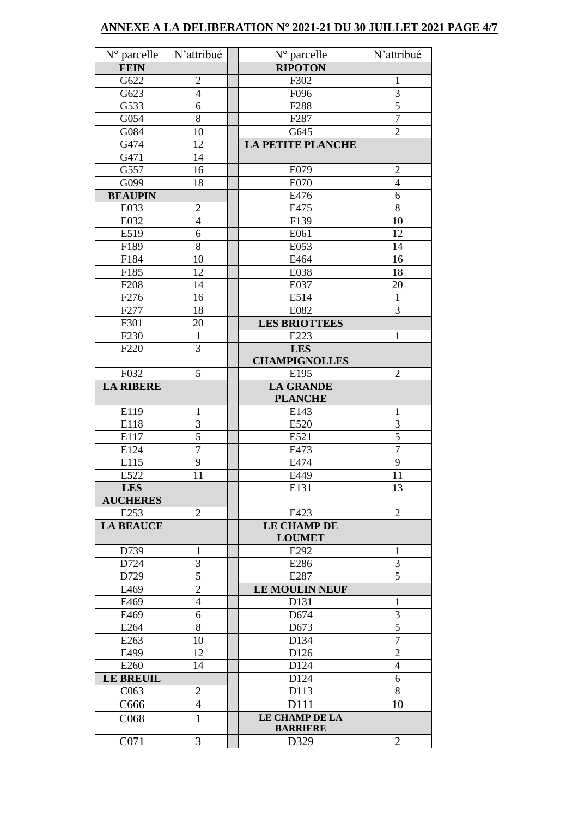### **ANNEXE A LA DELIBERATION N° 2021-21 DU 30 JUILLET 2021 PAGE 4/7**

| N° parcelle      | N'attribué     | $N^{\circ}$ parcelle              | N'attribué     |
|------------------|----------------|-----------------------------------|----------------|
| <b>FEIN</b>      |                | <b>RIPOTON</b>                    |                |
| G622             | $\overline{c}$ | F302                              | $\mathbf{1}$   |
| G623             | $\overline{4}$ | F096                              | $\overline{3}$ |
| G533             | 6              | F288                              | $\overline{5}$ |
| G054             | $\overline{8}$ | F <sub>287</sub>                  | $\overline{7}$ |
| G084             | 10             | G645                              | $\overline{2}$ |
| G474             | 12             | <b>LA PETITE PLANCHE</b>          |                |
| G471             | 14             |                                   |                |
| G557             | 16             | E079                              | $\mathbf{2}$   |
| G099             | 18             | E070                              | $\overline{4}$ |
| <b>BEAUPIN</b>   |                | E476                              | 6              |
| E033             | $\overline{2}$ | E475                              | 8              |
| E032             | $\overline{4}$ | F139                              | 10             |
| E519             | 6              | E061                              | 12             |
| F189             | 8              | E053                              | 14             |
| F184             | 10             | E464                              | 16             |
| F185             | 12             | E038                              | 18             |
| F <sub>208</sub> | 14             | E037                              | 20             |
| F276             | 16             | E514                              | $\mathbf{1}$   |
| F277             | 18             | E082                              | $\overline{3}$ |
| F301             | 20             | <b>LES BRIOTTEES</b>              |                |
| F <sub>230</sub> | $\mathbf{1}$   | E223                              | $\mathbf{1}$   |
| F <sub>220</sub> | 3              | <b>LES</b>                        |                |
|                  |                | <b>CHAMPIGNOLLES</b>              |                |
| F032             | 5              | E195                              | $\overline{2}$ |
| <b>LA RIBERE</b> |                | <b>LA GRANDE</b>                  |                |
|                  |                | <b>PLANCHE</b>                    |                |
| E119             | $\mathbf{1}$   | E143                              | $\mathbf{1}$   |
| E118             | 3              | E520                              | 3              |
| E117             | 5              | E521                              | $\overline{5}$ |
| E124             | $\overline{7}$ | E473                              | $\overline{7}$ |
| E115             | 9              | E474                              | 9              |
| E522             | 11             | E449                              | 11             |
| <b>LES</b>       |                | E131                              | 13             |
| <b>AUCHERES</b>  |                |                                   |                |
| E253             | $\overline{2}$ | E423                              | $\overline{2}$ |
| <b>LA BEAUCE</b> |                | <b>LE CHAMP DE</b>                |                |
|                  |                | <b>LOUMET</b>                     |                |
| D739             | 1              | E292                              | 1              |
| D724             | 3              | E286                              | 3              |
| D729             | 5              | E287                              | 5              |
| E469             | $\overline{2}$ | LE MOULIN NEUF                    |                |
| E469             | $\overline{4}$ | D131                              | 1              |
| E469             | 6              | D674                              | 3              |
| E264             | 8              | D673                              | 5              |
| E263             | 10             | D134                              | $\overline{7}$ |
| E499             | 12             | D126                              | $\overline{2}$ |
| E260             | 14             | D124                              | $\overline{4}$ |
| <b>LE BREUIL</b> |                | D124                              | 6              |
| C <sub>063</sub> | $\overline{2}$ | D113                              | 8              |
| C666             | $\overline{4}$ | D111                              | 10             |
| C068             | $\mathbf{1}$   | LE CHAMP DE LA<br><b>BARRIERE</b> |                |
| C071             | 3              | D329                              | $\overline{2}$ |
|                  |                |                                   |                |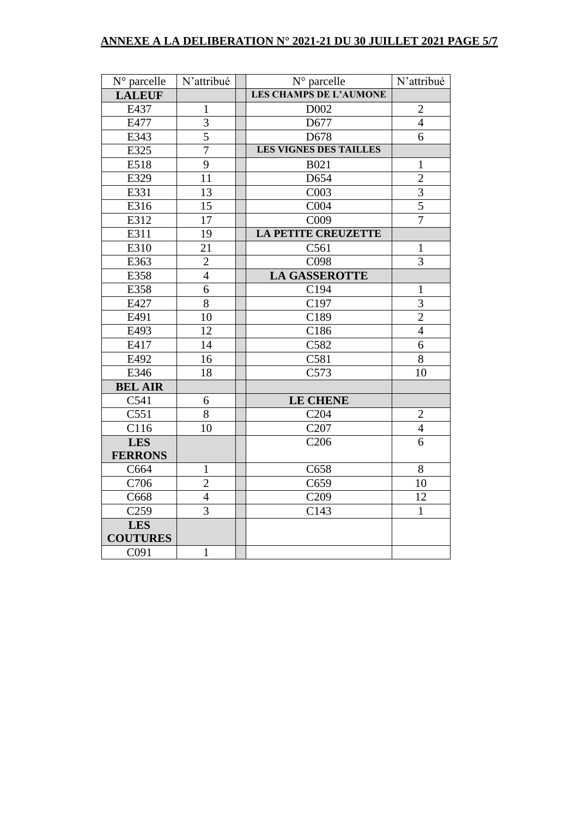# **ANNEXE A LA DELIBERATION N° 2021-21 DU 30 JUILLET 2021 PAGE 5/7**

| N° parcelle       | N'attribué      | $\overline{N^{\circ}}$ parcelle | N'attribué     |
|-------------------|-----------------|---------------------------------|----------------|
| <b>LALEUF</b>     |                 | <b>LES CHAMPS DE L'AUMONE</b>   |                |
| E437              | $\mathbf{1}$    | D002                            | $\overline{2}$ |
| E477              | $\overline{3}$  | D677                            | $\overline{4}$ |
| E343              | $\overline{5}$  | D678                            | 6              |
| E325              | $\overline{7}$  | <b>LES VIGNES DES TAILLES</b>   |                |
| E518              | $\overline{9}$  | <b>B021</b>                     | $\mathbf{1}$   |
| E329              | 11              | D654                            | $\overline{2}$ |
| E331              | 13              | C003                            | $\overline{3}$ |
| E316              | 15              | C004                            | $\overline{5}$ |
| E312              | 17              | C009                            | $\overline{7}$ |
| E311              | 19              | <b>LA PETITE CREUZETTE</b>      |                |
| E310              | 21              | C561                            | $\mathbf{1}$   |
| E363              | $\overline{c}$  | C098                            | 3              |
| E358              | $\overline{4}$  | <b>LA GASSEROTTE</b>            |                |
| E358              | 6               | C194                            | $\mathbf{1}$   |
| E427              | 8               | C197                            | 3              |
| E491              | 10              | C189                            | $\overline{2}$ |
| E493              | 12              | C186                            | $\overline{4}$ |
| E417              | 14              | C582                            | $\overline{6}$ |
| E492              | $\overline{16}$ | C581                            | $\overline{8}$ |
| E346              | 18              | C573                            | 10             |
| <b>BEL AIR</b>    |                 |                                 |                |
| C541              | 6               | <b>LE CHENE</b>                 |                |
| C551              | 8               | C <sub>204</sub>                | $\overline{2}$ |
| C116              | 10              | C <sub>207</sub>                | $\overline{4}$ |
| <b>LES</b>        |                 | C <sub>206</sub>                | $\overline{6}$ |
| <b>FERRONS</b>    |                 |                                 |                |
| C664              | $\mathbf{1}$    | C658                            | 8              |
| C706              | $\overline{2}$  | C659                            | 10             |
| C668              | $\overline{4}$  | C <sub>209</sub>                | 12             |
| $\overline{C259}$ | $\overline{3}$  | C143                            | $\mathbf{1}$   |
| <b>LES</b>        |                 |                                 |                |
| <b>COUTURES</b>   |                 |                                 |                |
| C091              | $\mathbf{1}$    |                                 |                |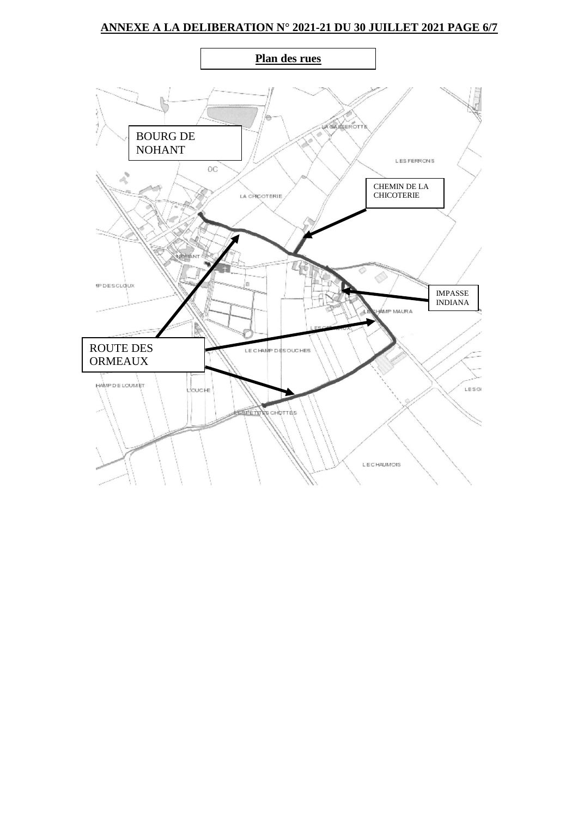## **ANNEXE A LA DELIBERATION N° 2021-21 DU 30 JUILLET 2021 PAGE 6/7**